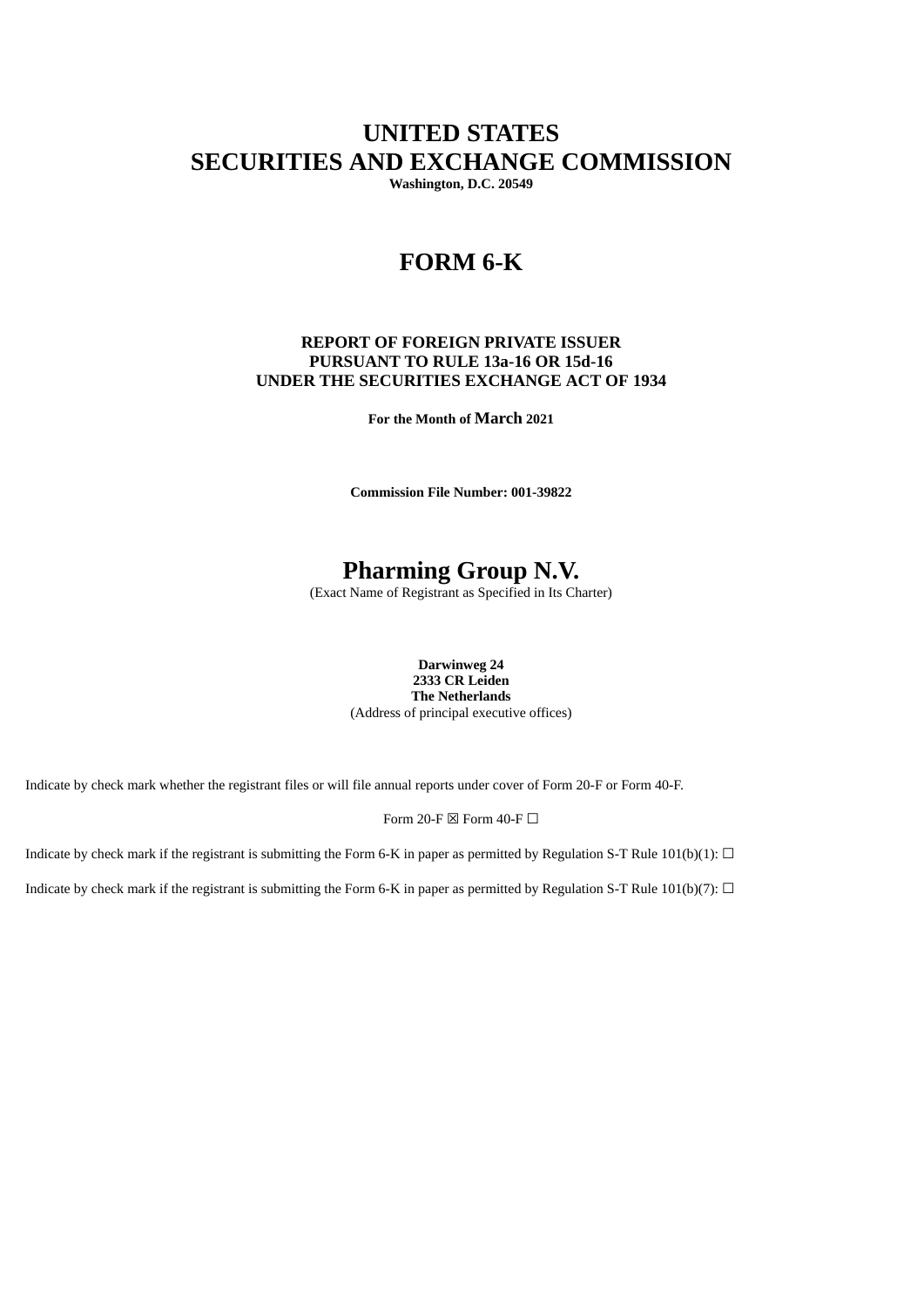# **UNITED STATES SECURITIES AND EXCHANGE COMMISSION**

**Washington, D.C. 20549**

## **FORM 6-K**

#### **REPORT OF FOREIGN PRIVATE ISSUER PURSUANT TO RULE 13a-16 OR 15d-16 UNDER THE SECURITIES EXCHANGE ACT OF 1934**

**For the Month of March 2021**

**Commission File Number: 001-39822**

# **Pharming Group N.V.**

(Exact Name of Registrant as Specified in Its Charter)

**Darwinweg 24 2333 CR Leiden The Netherlands** (Address of principal executive offices)

Indicate by check mark whether the registrant files or will file annual reports under cover of Form 20-F or Form 40-F.

Form 20-F  $\boxtimes$  Form 40-F  $\Box$ 

Indicate by check mark if the registrant is submitting the Form 6-K in paper as permitted by Regulation S-T Rule 101(b)(1):  $\Box$ 

Indicate by check mark if the registrant is submitting the Form 6-K in paper as permitted by Regulation S-T Rule 101(b)(7):  $\Box$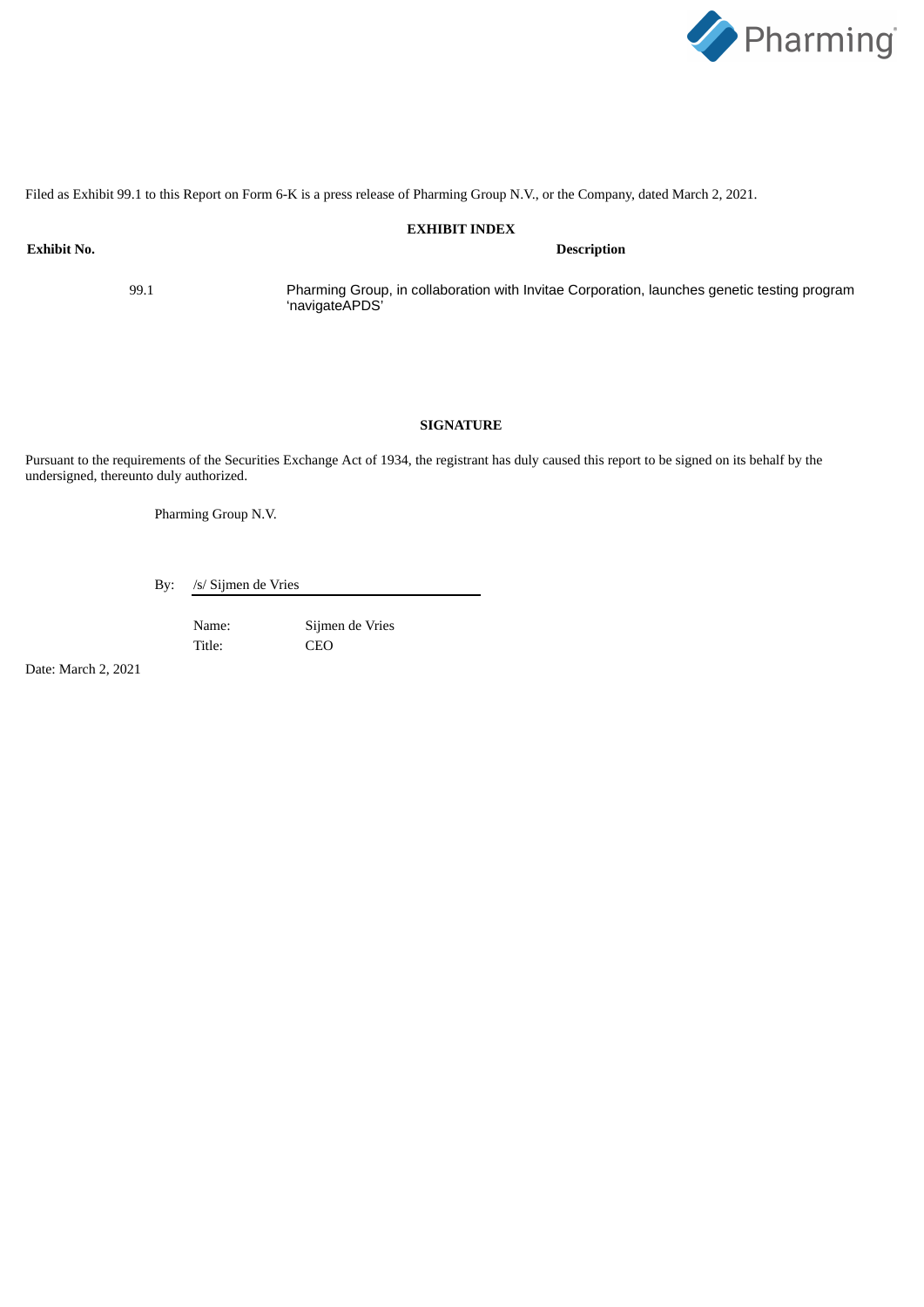

Filed as Exhibit 99.1 to this Report on Form 6-K is a press release of Pharming Group N.V., or the Company, dated March 2, 2021.

#### **EXHIBIT INDEX**

**Exhibit No. Description**

99.1 Pharming Group, in collaboration with Invitae Corporation, launches genetic testing program 'navigateAPDS'

#### **SIGNATURE**

Pursuant to the requirements of the Securities Exchange Act of 1934, the registrant has duly caused this report to be signed on its behalf by the undersigned, thereunto duly authorized.

Pharming Group N.V.

By: /s/ Sijmen de Vries

Name: Sijmen de Vries Title: CEO

Date: March 2, 2021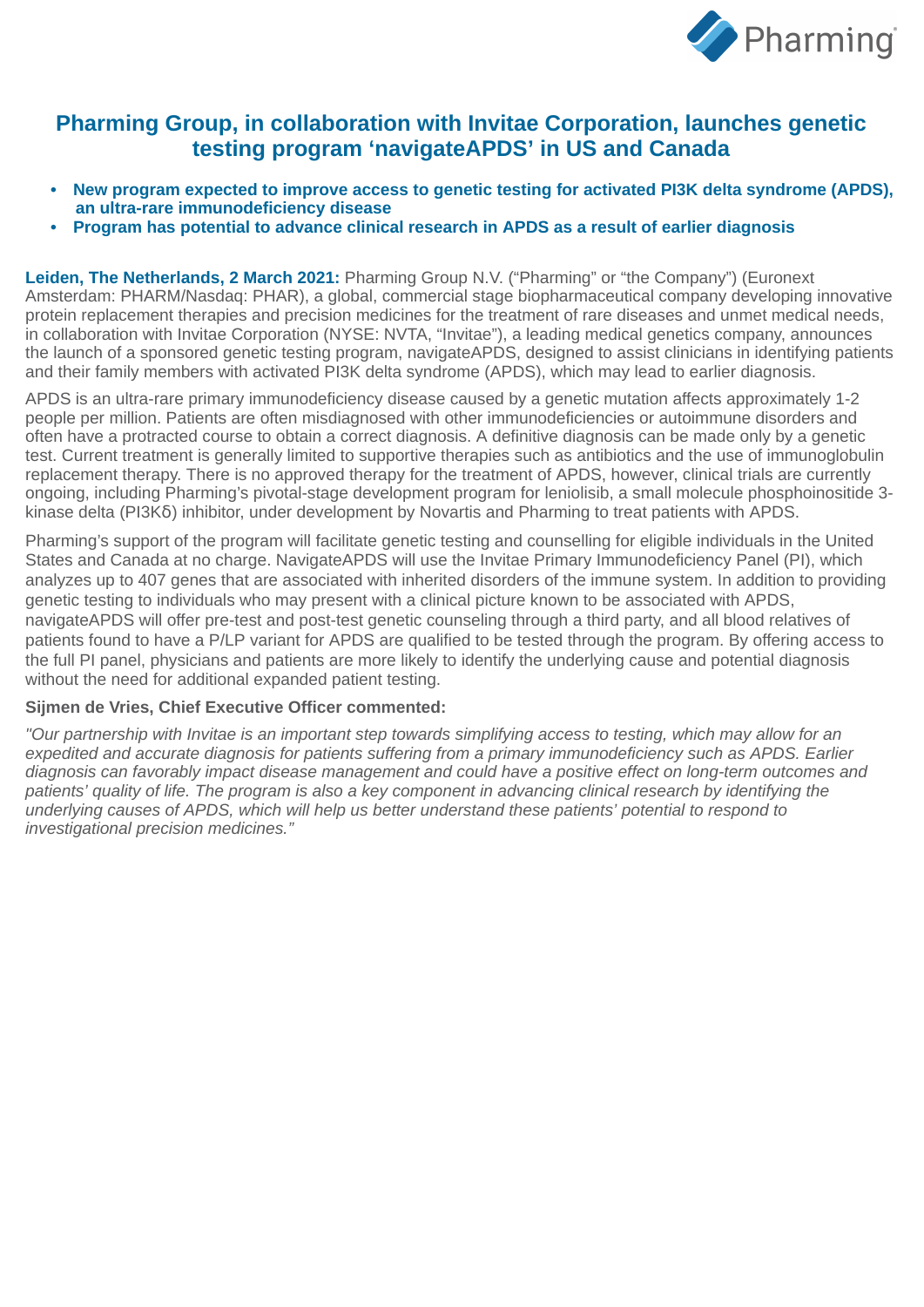

## **Pharming Group, in collaboration with Invitae Corporation, launches genetic testing program 'navigateAPDS' in US and Canada**

- **• New program expected to improve access to genetic testing for activated PI3K delta syndrome (APDS), an ultra-rare immunodeficiency disease**
- **• Program has potential to advance clinical research in APDS as a result of earlier diagnosis**

**Leiden, The Netherlands, 2 March 2021:** Pharming Group N.V. ("Pharming" or "the Company") (Euronext Amsterdam: PHARM/Nasdaq: PHAR), a global, commercial stage biopharmaceutical company developing innovative protein replacement therapies and precision medicines for the treatment of rare diseases and unmet medical needs, in collaboration with Invitae Corporation (NYSE: NVTA, "Invitae"), a leading medical genetics company, announces the launch of a sponsored genetic testing program, navigateAPDS, designed to assist clinicians in identifying patients and their family members with activated PI3K delta syndrome (APDS), which may lead to earlier diagnosis.

APDS is an ultra-rare primary immunodeficiency disease caused by a genetic mutation affects approximately 1-2 people per million. Patients are often misdiagnosed with other immunodeficiencies or autoimmune disorders and often have a protracted course to obtain a correct diagnosis. A definitive diagnosis can be made only by a genetic test. Current treatment is generally limited to supportive therapies such as antibiotics and the use of immunoglobulin replacement therapy. There is no approved therapy for the treatment of APDS, however, clinical trials are currently ongoing, including Pharming's pivotal-stage development program for leniolisib, a small molecule phosphoinositide 3 kinase delta (PI3K $\delta$ ) inhibitor, under development by Novartis and Pharming to treat patients with APDS.

Pharming's support of the program will facilitate genetic testing and counselling for eligible individuals in the United States and Canada at no charge. NavigateAPDS will use the Invitae Primary Immunodeficiency Panel (PI), which analyzes up to 407 genes that are associated with inherited disorders of the immune system. In addition to providing genetic testing to individuals who may present with a clinical picture known to be associated with APDS, navigateAPDS will offer pre-test and post-test genetic counseling through a third party, and all blood relatives of patients found to have a P/LP variant for APDS are qualified to be tested through the program. By offering access to the full PI panel, physicians and patients are more likely to identify the underlying cause and potential diagnosis without the need for additional expanded patient testing.

#### **Sijmen de Vries, Chief Executive Officer commented:**

*"Our partnership with Invitae is an important step towards simplifying access to testing, which may allow for an expedited and accurate diagnosis for patients suffering from a primary immunodeficiency such as APDS. Earlier diagnosis can favorably impact disease management and could have a positive effect on long-term outcomes and* patients' quality of life. The program is also a key component in advancing clinical research by identifying the *underlying causes of APDS, which will help us better understand these patients' potential to respond to investigational precision medicines."*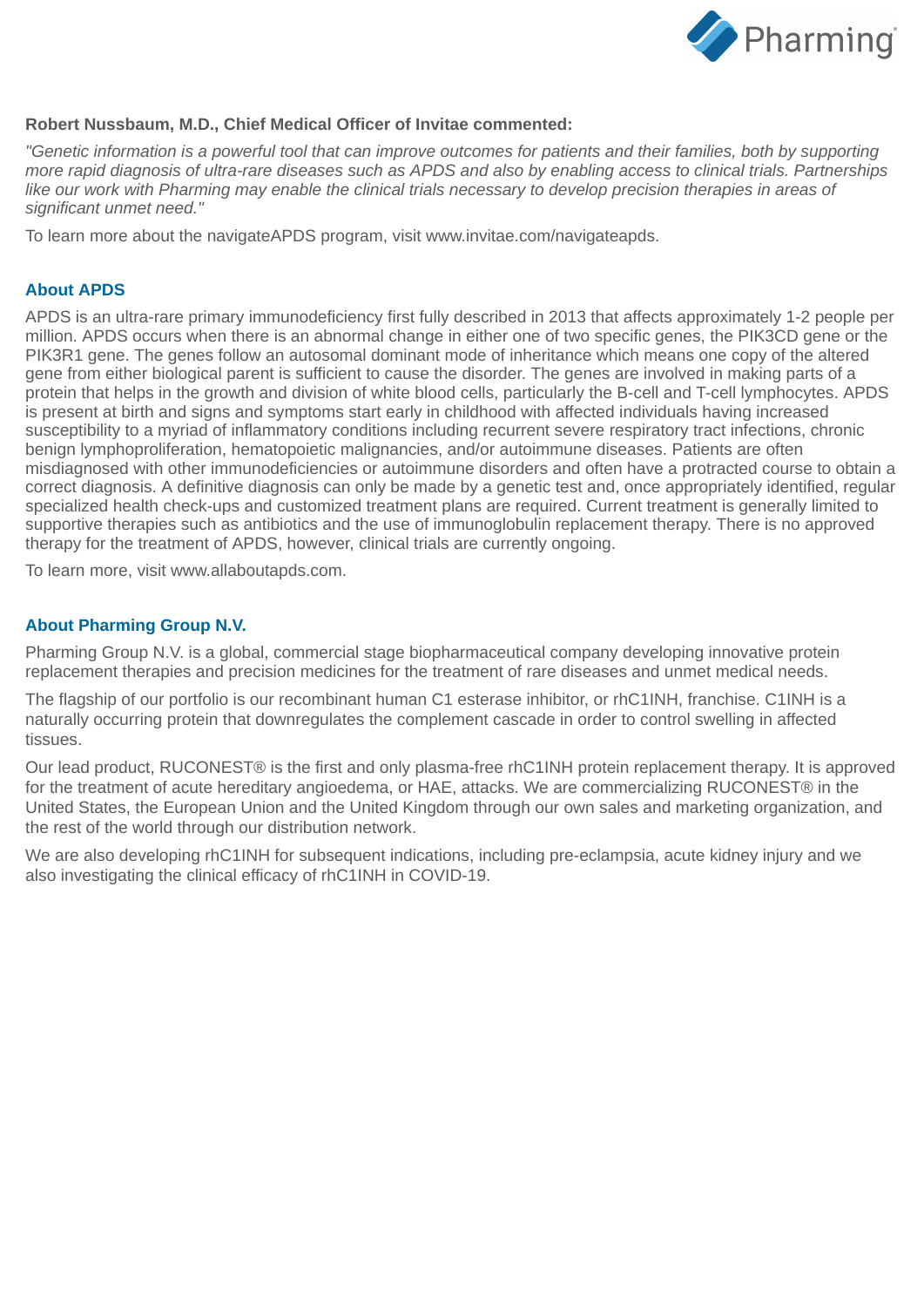

### **Robert Nussbaum, M.D., Chief Medical Officer of Invitae commented:**

*"Genetic information is a powerful tool that can improve outcomes for patients and their families, both by supporting more rapid diagnosis of ultra-rare diseases such as APDS and also by enabling access to clinical trials. Partnerships like our work with Pharming may enable the clinical trials necessary to develop precision therapies in areas of significant unmet need."*

To learn more about the navigateAPDS program, visit www.invitae.com/navigateapds.

### **About APDS**

APDS is an ultra-rare primary immunodeficiency first fully described in 2013 that affects approximately 1-2 people per million. APDS occurs when there is an abnormal change in either one of two specific genes, the PIK3CD gene or the PIK3R1 gene. The genes follow an autosomal dominant mode of inheritance which means one copy of the altered gene from either biological parent is sufficient to cause the disorder. The genes are involved in making parts of a protein that helps in the growth and division of white blood cells, particularly the B-cell and T-cell lymphocytes. APDS is present at birth and signs and symptoms start early in childhood with affected individuals having increased susceptibility to a myriad of inflammatory conditions including recurrent severe respiratory tract infections, chronic benign lymphoproliferation, hematopoietic malignancies, and/or autoimmune diseases. Patients are often misdiagnosed with other immunodeficiencies or autoimmune disorders and often have a protracted course to obtain a correct diagnosis. A definitive diagnosis can only be made by a genetic test and, once appropriately identified, regular specialized health check-ups and customized treatment plans are required. Current treatment is generally limited to supportive therapies such as antibiotics and the use of immunoglobulin replacement therapy. There is no approved therapy for the treatment of APDS, however, clinical trials are currently ongoing.

To learn more, visit www.allaboutapds.com.

### **About Pharming Group N.V.**

Pharming Group N.V. is a global, commercial stage biopharmaceutical company developing innovative protein replacement therapies and precision medicines for the treatment of rare diseases and unmet medical needs.

The flagship of our portfolio is our recombinant human C1 esterase inhibitor, or rhC1INH, franchise. C1INH is a naturally occurring protein that downregulates the complement cascade in order to control swelling in affected tissues.

Our lead product, RUCONEST® is the first and only plasma-free rhC1INH protein replacement therapy. It is approved for the treatment of acute hereditary angioedema, or HAE, attacks. We are commercializing RUCONEST® in the United States, the European Union and the United Kingdom through our own sales and marketing organization, and the rest of the world through our distribution network.

We are also developing rhC1INH for subsequent indications, including pre-eclampsia, acute kidney injury and we also investigating the clinical efficacy of rhC1INH in COVID-19.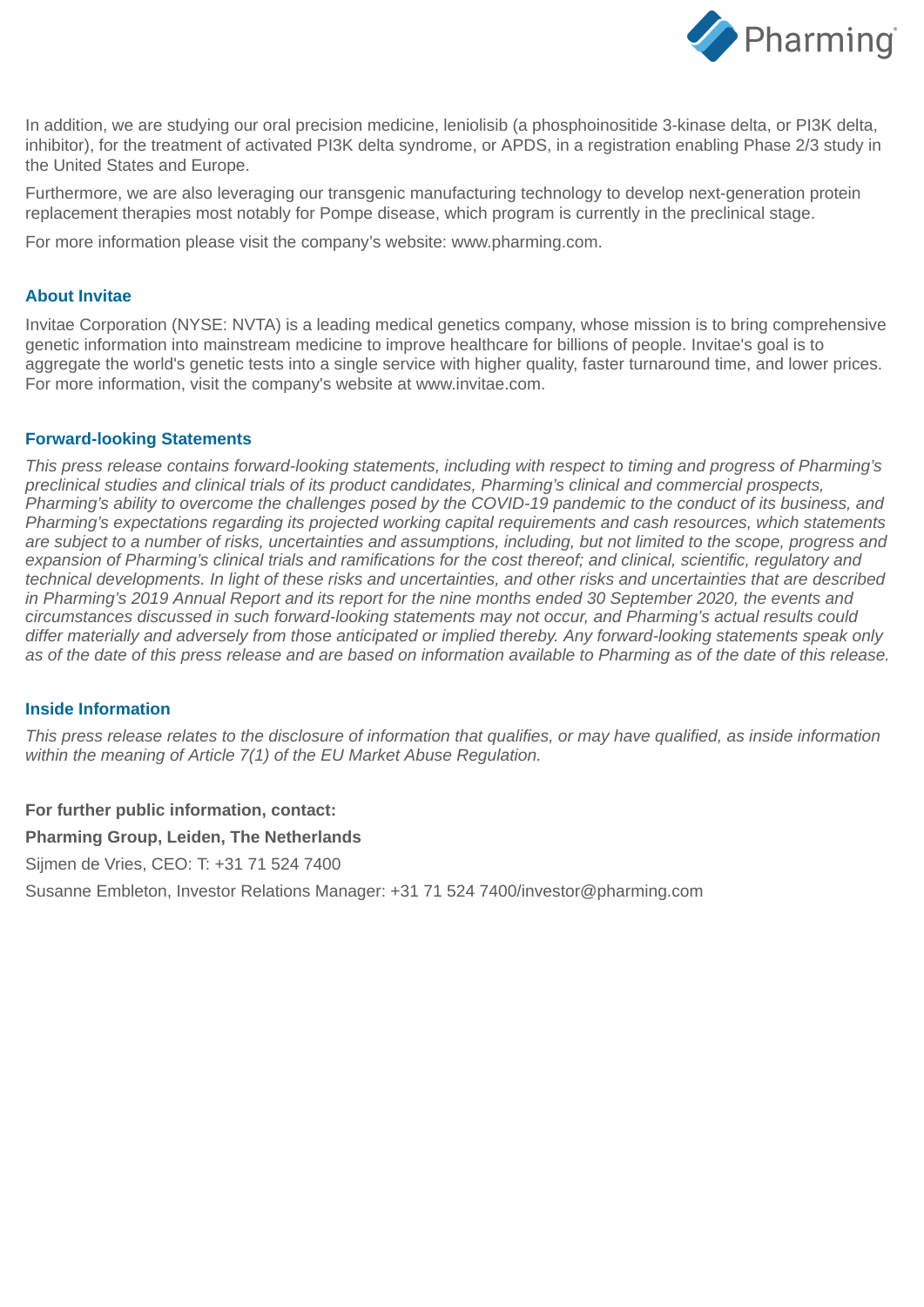

In addition, we are studying our oral precision medicine, leniolisib (a phosphoinositide 3-kinase delta, or PI3K delta, inhibitor), for the treatment of activated PI3K delta syndrome, or APDS, in a registration enabling Phase 2/3 study in the United States and Europe.

Furthermore, we are also leveraging our transgenic manufacturing technology to develop next-generation protein replacement therapies most notably for Pompe disease, which program is currently in the preclinical stage.

For more information please visit the company's website: www.pharming.com.

#### **About Invitae**

Invitae Corporation (NYSE: NVTA) is a leading medical genetics company, whose mission is to bring comprehensive genetic information into mainstream medicine to improve healthcare for billions of people. Invitae's goal is to aggregate the world's genetic tests into a single service with higher quality, faster turnaround time, and lower prices. For more information, visit the company's website at www.invitae.com.

#### **Forward-looking Statements**

*This press release contains forward-looking statements, including with respect to timing and progress of Pharming's preclinical studies and clinical trials of its product candidates, Pharming's clinical and commercial prospects, Pharming's ability to overcome the challenges posed by the COVID-19 pandemic to the conduct of its business, and Pharming's expectations regarding its projected working capital requirements and cash resources, which statements are subject to a number of risks, uncertainties and assumptions, including, but not limited to the scope, progress and expansion of Pharming's clinical trials and ramifications for the cost thereof; and clinical, scientific, regulatory and technical developments. In light of these risks and uncertainties, and other risks and uncertainties that are described in Pharming's 2019 Annual Report and its report for the nine months ended 30 September 2020, the events and circumstances discussed in such forward-looking statements may not occur, and Pharming's actual results could differ materially and adversely from those anticipated or implied thereby. Any forward-looking statements speak only as of the date of this press release and are based on information available to Pharming as of the date of this release.*

### **Inside Information**

*This press release relates to the disclosure of information that qualifies, or may have qualified, as inside information within the meaning of Article 7(1) of the EU Market Abuse Regulation.*

### **For further public information, contact:**

#### **Pharming Group, Leiden, The Netherlands**

Sijmen de Vries, CEO: T: +31 71 524 7400

Susanne Embleton, Investor Relations Manager: +31 71 524 7400/investor@pharming.com